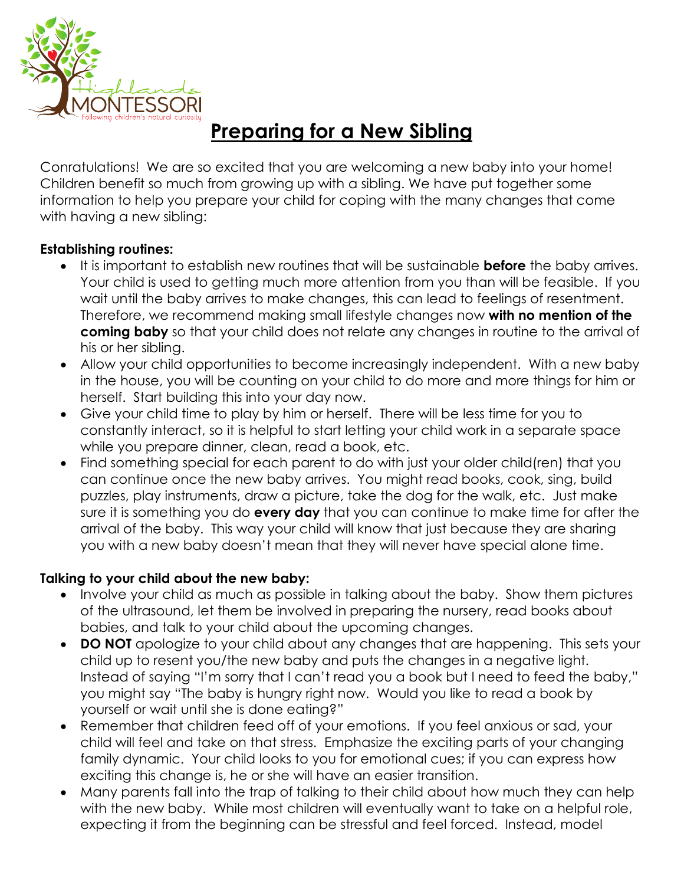

## **Preparing for a New Sibling**

Conratulations! We are so excited that you are welcoming a new baby into your home! Children benefit so much from growing up with a sibling. We have put together some information to help you prepare your child for coping with the many changes that come with having a new sibling:

## **Establishing routines:**

- It is important to establish new routines that will be sustainable **before** the baby arrives. Your child is used to getting much more attention from you than will be feasible. If you wait until the baby arrives to make changes, this can lead to feelings of resentment. Therefore, we recommend making small lifestyle changes now **with no mention of the coming baby** so that your child does not relate any changes in routine to the arrival of his or her sibling.
- Allow your child opportunities to become increasingly independent. With a new baby in the house, you will be counting on your child to do more and more things for him or herself. Start building this into your day now.
- Give your child time to play by him or herself. There will be less time for you to constantly interact, so it is helpful to start letting your child work in a separate space while you prepare dinner, clean, read a book, etc.
- Find something special for each parent to do with just your older child(ren) that you can continue once the new baby arrives. You might read books, cook, sing, build puzzles, play instruments, draw a picture, take the dog for the walk, etc. Just make sure it is something you do **every day** that you can continue to make time for after the arrival of the baby. This way your child will know that just because they are sharing you with a new baby doesn't mean that they will never have special alone time.

## **Talking to your child about the new baby:**

- Involve your child as much as possible in talking about the baby. Show them pictures of the ultrasound, let them be involved in preparing the nursery, read books about babies, and talk to your child about the upcoming changes.
- **DO NOT** apologize to your child about any changes that are happening. This sets your child up to resent you/the new baby and puts the changes in a negative light. Instead of saying "I'm sorry that I can't read you a book but I need to feed the baby," you might say "The baby is hungry right now. Would you like to read a book by yourself or wait until she is done eating?"
- Remember that children feed off of your emotions. If you feel anxious or sad, your child will feel and take on that stress. Emphasize the exciting parts of your changing family dynamic. Your child looks to you for emotional cues; if you can express how exciting this change is, he or she will have an easier transition.
- Many parents fall into the trap of talking to their child about how much they can help with the new baby. While most children will eventually want to take on a helpful role, expecting it from the beginning can be stressful and feel forced. Instead, model